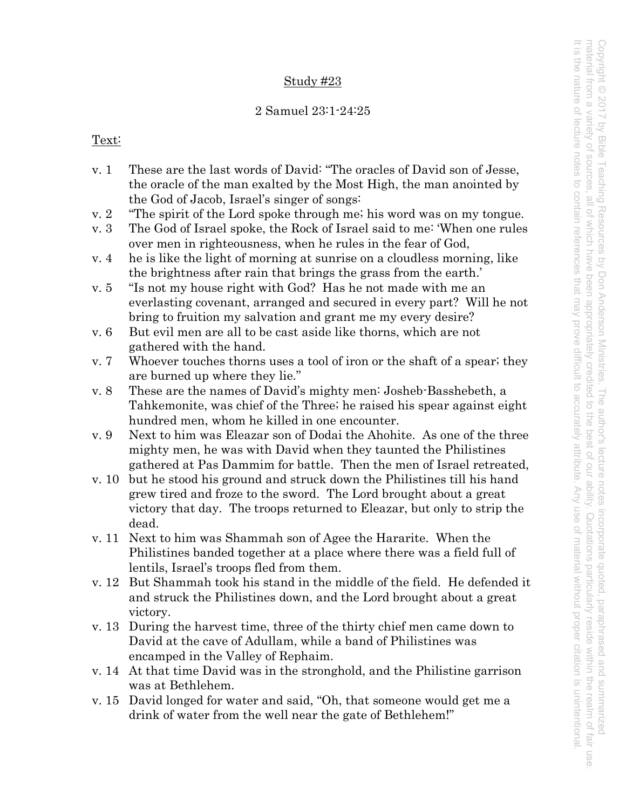#### Study #23

#### 2 Samuel 23:1-24:25

## Text:

- v. 1 These are the last words of David: "The oracles of David son of Jesse, the oracle of the man exalted by the Most High, the man anointed by the God of Jacob, Israel's singer of songs:
- v. 2 "The spirit of the Lord spoke through me; his word was on my tongue.
- v. 3 The God of Israel spoke, the Rock of Israel said to me: 'When one rules over men in righteousness, when he rules in the fear of God,
- v. 4 he is like the light of morning at sunrise on a cloudless morning, like the brightness after rain that brings the grass from the earth.'
- v. 5 "Is not my house right with God? Has he not made with me an everlasting covenant, arranged and secured in every part? Will he not bring to fruition my salvation and grant me my every desire?
- v. 6 But evil men are all to be cast aside like thorns, which are not gathered with the hand.
- v. 7 Whoever touches thorns uses a tool of iron or the shaft of a spear; they are burned up where they lie."
- v. 8 These are the names of David's mighty men: Josheb-Basshebeth, a Tahkemonite, was chief of the Three; he raised his spear against eight hundred men, whom he killed in one encounter.
- v. 9 Next to him was Eleazar son of Dodai the Ahohite. As one of the three mighty men, he was with David when they taunted the Philistines gathered at Pas Dammim for battle. Then the men of Israel retreated,
- v. 10 but he stood his ground and struck down the Philistines till his hand grew tired and froze to the sword. The Lord brought about a great victory that day. The troops returned to Eleazar, but only to strip the dead.
- v. 11 Next to him was Shammah son of Agee the Hararite. When the Philistines banded together at a place where there was a field full of lentils, Israel's troops fled from them.
- v. 12 But Shammah took his stand in the middle of the field. He defended it and struck the Philistines down, and the Lord brought about a great victory.
- v. 13 During the harvest time, three of the thirty chief men came down to David at the cave of Adullam, while a band of Philistines was encamped in the Valley of Rephaim.
- v. 14 At that time David was in the stronghold, and the Philistine garrison was at Bethlehem.
- v. 15 David longed for water and said, "Oh, that someone would get me a drink of water from the well near the gate of Bethlehem!"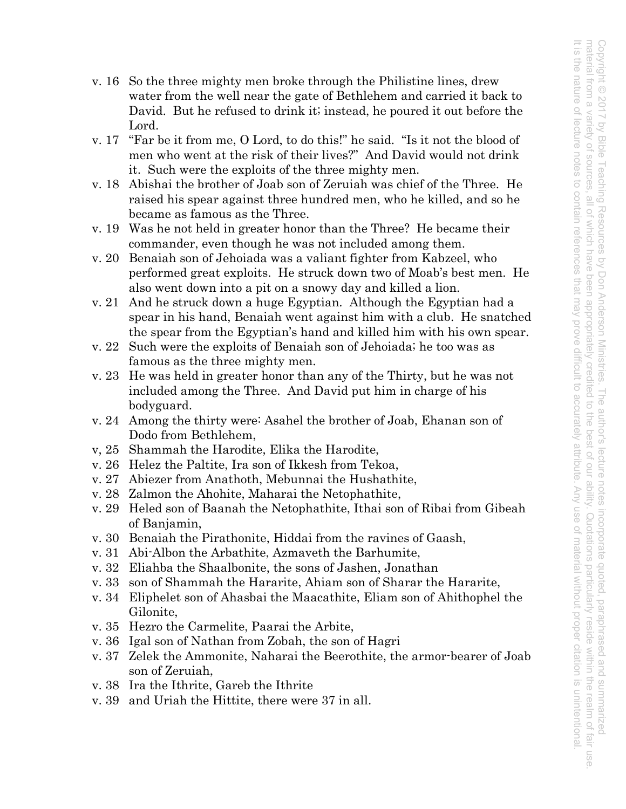- v. 16 So the three mighty men broke through the Philistine lines, drew water from the well near the gate of Bethlehem and carried it back to David. But he refused to drink it; instead, he poured it out before the Lord.
- v. 17 "Far be it from me, O Lord, to do this!" he said. "Is it not the blood of men who went at the risk of their lives?" And David would not drink it. Such were the exploits of the three mighty men.
- v. 18 Abishai the brother of Joab son of Zeruiah was chief of the Three. He raised his spear against three hundred men, who he killed, and so he became as famous as the Three.
- v. 19 Was he not held in greater honor than the Three? He became their commander, even though he was not included among them.
- v. 20 Benaiah son of Jehoiada was a valiant fighter from Kabzeel, who performed great exploits. He struck down two of Moab's best men. He also went down into a pit on a snowy day and killed a lion.
- v. 21 And he struck down a huge Egyptian. Although the Egyptian had a spear in his hand, Benaiah went against him with a club. He snatched the spear from the Egyptian's hand and killed him with his own spear.
- v. 22 Such were the exploits of Benaiah son of Jehoiada; he too was as famous as the three mighty men.
- v. 23 He was held in greater honor than any of the Thirty, but he was not included among the Three. And David put him in charge of his bodyguard.
- v. 24 Among the thirty were: Asahel the brother of Joab, Ehanan son of Dodo from Bethlehem,
- v, 25 Shammah the Harodite, Elika the Harodite,
- v. 26 Helez the Paltite, Ira son of Ikkesh from Tekoa,
- v. 27 Abiezer from Anathoth, Mebunnai the Hushathite,
- v. 28 Zalmon the Ahohite, Maharai the Netophathite,
- v. 29 Heled son of Baanah the Netophathite, Ithai son of Ribai from Gibeah of Banjamin,
- v. 30 Benaiah the Pirathonite, Hiddai from the ravines of Gaash,
- v. 31 Abi-Albon the Arbathite, Azmaveth the Barhumite,
- v. 32 Eliahba the Shaalbonite, the sons of Jashen, Jonathan
- v. 33 son of Shammah the Hararite, Ahiam son of Sharar the Hararite,
- v. 34 Eliphelet son of Ahasbai the Maacathite, Eliam son of Ahithophel the Gilonite,
- v. 35 Hezro the Carmelite, Paarai the Arbite,
- v. 36 Igal son of Nathan from Zobah, the son of Hagri
- v. 37 Zelek the Ammonite, Naharai the Beerothite, the armor-bearer of Joab son of Zeruiah,
- v. 38 Ira the Ithrite, Gareb the Ithrite
- v. 39 and Uriah the Hittite, there were 37 in all.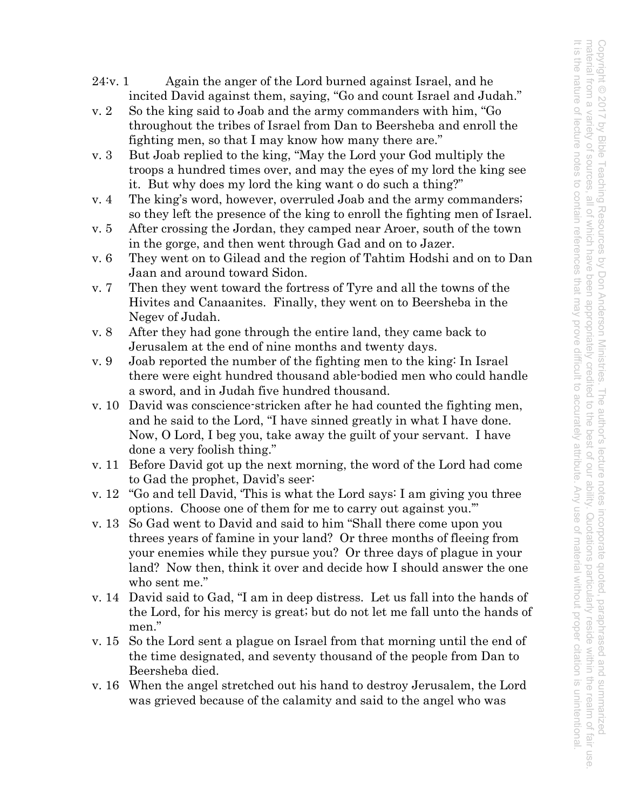- 24:v. 1 Again the anger of the Lord burned against Israel, and he incited David against them, saying, "Go and count Israel and Judah."
- v. 2 So the king said to Joab and the army commanders with him, "Go throughout the tribes of Israel from Dan to Beersheba and enroll the fighting men, so that I may know how many there are."
- v. 3 But Joab replied to the king, "May the Lord your God multiply the troops a hundred times over, and may the eyes of my lord the king see it. But why does my lord the king want o do such a thing?"
- v. 4 The king's word, however, overruled Joab and the army commanders; so they left the presence of the king to enroll the fighting men of Israel.
- v. 5 After crossing the Jordan, they camped near Aroer, south of the town in the gorge, and then went through Gad and on to Jazer.
- v. 6 They went on to Gilead and the region of Tahtim Hodshi and on to Dan Jaan and around toward Sidon.
- v. 7 Then they went toward the fortress of Tyre and all the towns of the Hivites and Canaanites. Finally, they went on to Beersheba in the Negev of Judah.
- v. 8 After they had gone through the entire land, they came back to Jerusalem at the end of nine months and twenty days.
- v. 9 Joab reported the number of the fighting men to the king: In Israel there were eight hundred thousand able-bodied men who could handle a sword, and in Judah five hundred thousand.
- v. 10 David was conscience-stricken after he had counted the fighting men, and he said to the Lord, "I have sinned greatly in what I have done. Now, O Lord, I beg you, take away the guilt of your servant. I have done a very foolish thing."
- v. 11 Before David got up the next morning, the word of the Lord had come to Gad the prophet, David's seer:
- v. 12 "Go and tell David, 'This is what the Lord says: I am giving you three options. Choose one of them for me to carry out against you.'"
- v. 13 So Gad went to David and said to him "Shall there come upon you threes years of famine in your land? Or three months of fleeing from your enemies while they pursue you? Or three days of plague in your land? Now then, think it over and decide how I should answer the one who sent me."
- v. 14 David said to Gad, "I am in deep distress. Let us fall into the hands of the Lord, for his mercy is great; but do not let me fall unto the hands of men."
- v. 15 So the Lord sent a plague on Israel from that morning until the end of the time designated, and seventy thousand of the people from Dan to Beersheba died.
- v. 16 When the angel stretched out his hand to destroy Jerusalem, the Lord was grieved because of the calamity and said to the angel who was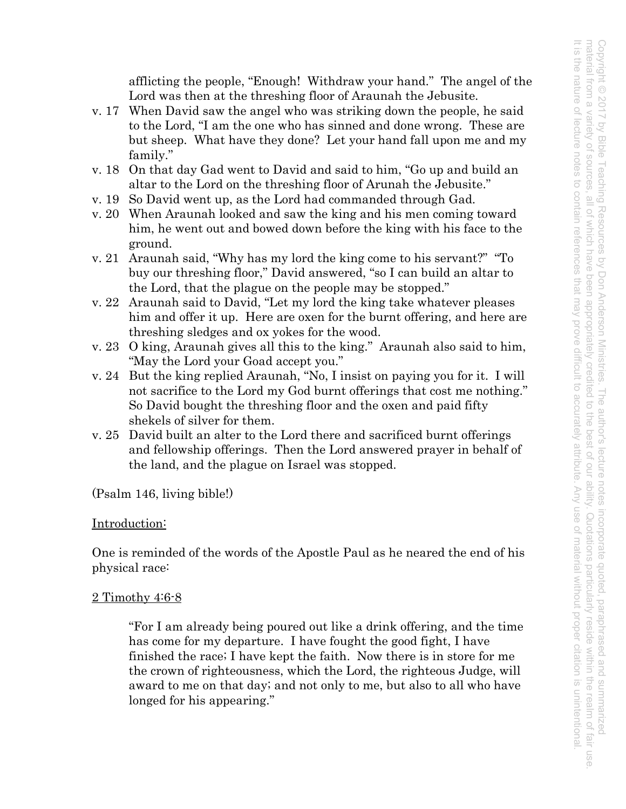afflicting the people, "Enough! Withdraw your hand." The angel of the Lord was then at the threshing floor of Araunah the Jebusite.

- v. 17 When David saw the angel who was striking down the people, he said to the Lord, "I am the one who has sinned and done wrong. These are but sheep. What have they done? Let your hand fall upon me and my family."
- v. 18 On that day Gad went to David and said to him, "Go up and build an altar to the Lord on the threshing floor of Arunah the Jebusite."
- v. 19 So David went up, as the Lord had commanded through Gad.
- v. 20 When Araunah looked and saw the king and his men coming toward him, he went out and bowed down before the king with his face to the ground.
- v. 21 Araunah said, "Why has my lord the king come to his servant?" "To buy our threshing floor," David answered, "so I can build an altar to the Lord, that the plague on the people may be stopped."
- v. 22 Araunah said to David, "Let my lord the king take whatever pleases him and offer it up. Here are oxen for the burnt offering, and here are threshing sledges and ox yokes for the wood.
- v. 23 O king, Araunah gives all this to the king." Araunah also said to him, "May the Lord your Goad accept you."
- v. 24 But the king replied Araunah, "No, I insist on paying you for it. I will not sacrifice to the Lord my God burnt offerings that cost me nothing." So David bought the threshing floor and the oxen and paid fifty shekels of silver for them.
- v. 25 David built an alter to the Lord there and sacrificed burnt offerings and fellowship offerings. Then the Lord answered prayer in behalf of the land, and the plague on Israel was stopped.

(Psalm 146, living bible!)

## Introduction:

One is reminded of the words of the Apostle Paul as he neared the end of his physical race:

### 2 Timothy 4:6-8

"For I am already being poured out like a drink offering, and the time has come for my departure. I have fought the good fight, I have finished the race; I have kept the faith. Now there is in store for me the crown of righteousness, which the Lord, the righteous Judge, will award to me on that day; and not only to me, but also to all who have longed for his appearing."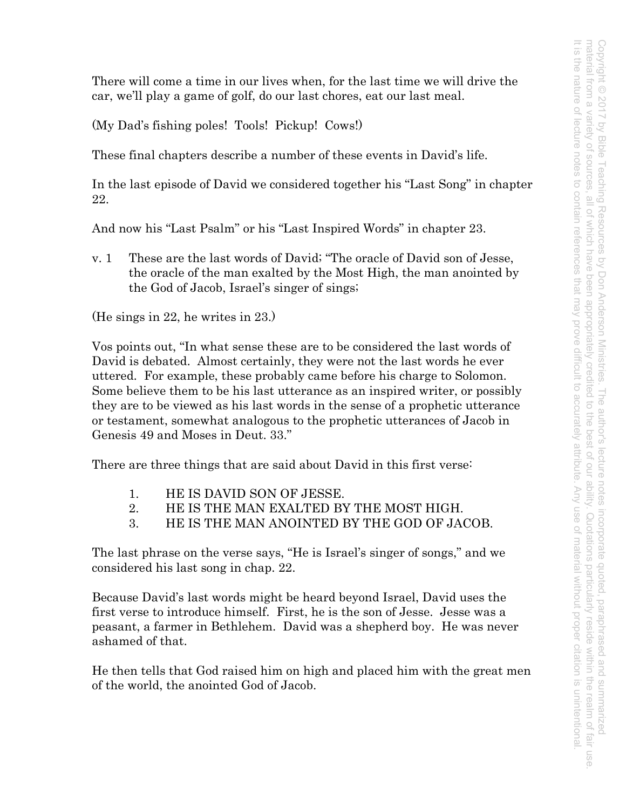There will come a time in our lives when, for the last time we will drive the car, we'll play a game of golf, do our last chores, eat our last meal.

(My Dad's fishing poles! Tools! Pickup! Cows!)

These final chapters describe a number of these events in David's life.

In the last episode of David we considered together his "Last Song" in chapter 22.

And now his "Last Psalm" or his "Last Inspired Words" in chapter 23.

v. 1 These are the last words of David; "The oracle of David son of Jesse, the oracle of the man exalted by the Most High, the man anointed by the God of Jacob, Israel's singer of sings;

(He sings in 22, he writes in 23.)

Vos points out, "In what sense these are to be considered the last words of David is debated. Almost certainly, they were not the last words he ever uttered. For example, these probably came before his charge to Solomon. Some believe them to be his last utterance as an inspired writer, or possibly they are to be viewed as his last words in the sense of a prophetic utterance or testament, somewhat analogous to the prophetic utterances of Jacob in Genesis 49 and Moses in Deut. 33."

There are three things that are said about David in this first verse:

- 1. HE IS DAVID SON OF JESSE.
- 2. HE IS THE MAN EXALTED BY THE MOST HIGH.
- 3. HE IS THE MAN ANOINTED BY THE GOD OF JACOB.

The last phrase on the verse says, "He is Israel's singer of songs," and we considered his last song in chap. 22.

Because David's last words might be heard beyond Israel, David uses the first verse to introduce himself. First, he is the son of Jesse. Jesse was a peasant, a farmer in Bethlehem. David was a shepherd boy. He was never ashamed of that.

He then tells that God raised him on high and placed him with the great men of the world, the anointed God of Jacob.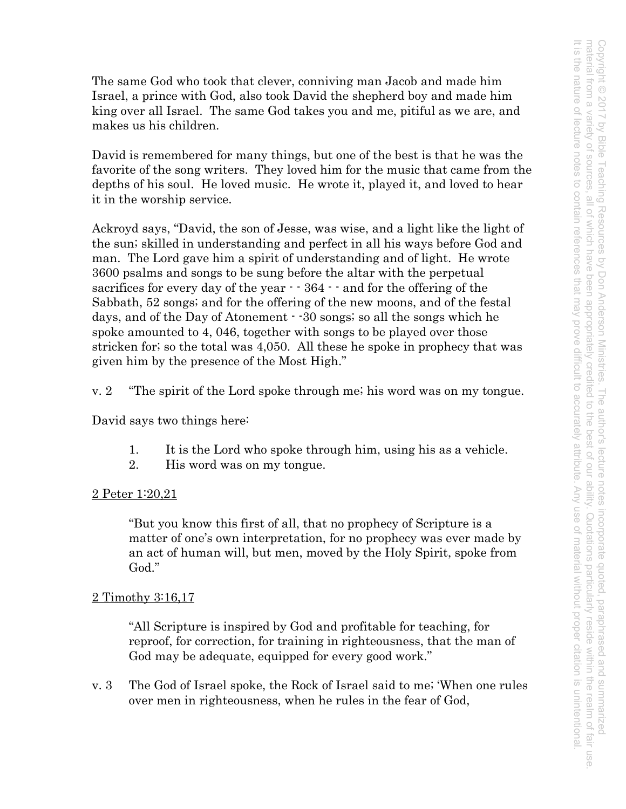The same God who took that clever, conniving man Jacob and made him Israel, a prince with God, also took David the shepherd boy and made him king over all Israel. The same God takes you and me, pitiful as we are, and makes us his children.

David is remembered for many things, but one of the best is that he was the favorite of the song writers. They loved him for the music that came from the depths of his soul. He loved music. He wrote it, played it, and loved to hear it in the worship service.

Ackroyd says, "David, the son of Jesse, was wise, and a light like the light of the sun; skilled in understanding and perfect in all his ways before God and man. The Lord gave him a spirit of understanding and of light. He wrote 3600 psalms and songs to be sung before the altar with the perpetual sacrifices for every day of the year  $\cdot$  - 364  $\cdot$  - and for the offering of the Sabbath, 52 songs; and for the offering of the new moons, and of the festal days, and of the Day of Atonement - -30 songs; so all the songs which he spoke amounted to 4, 046, together with songs to be played over those stricken for; so the total was 4,050. All these he spoke in prophecy that was given him by the presence of the Most High."

v. 2 "The spirit of the Lord spoke through me; his word was on my tongue.

David says two things here:

- 1. It is the Lord who spoke through him, using his as a vehicle.
- 2. His word was on my tongue.

## 2 Peter 1:20,21

"But you know this first of all, that no prophecy of Scripture is a matter of one's own interpretation, for no prophecy was ever made by an act of human will, but men, moved by the Holy Spirit, spoke from God."

## 2 Timothy 3:16,17

"All Scripture is inspired by God and profitable for teaching, for reproof, for correction, for training in righteousness, that the man of God may be adequate, equipped for every good work."

v. 3 The God of Israel spoke, the Rock of Israel said to me; 'When one rules over men in righteousness, when he rules in the fear of God,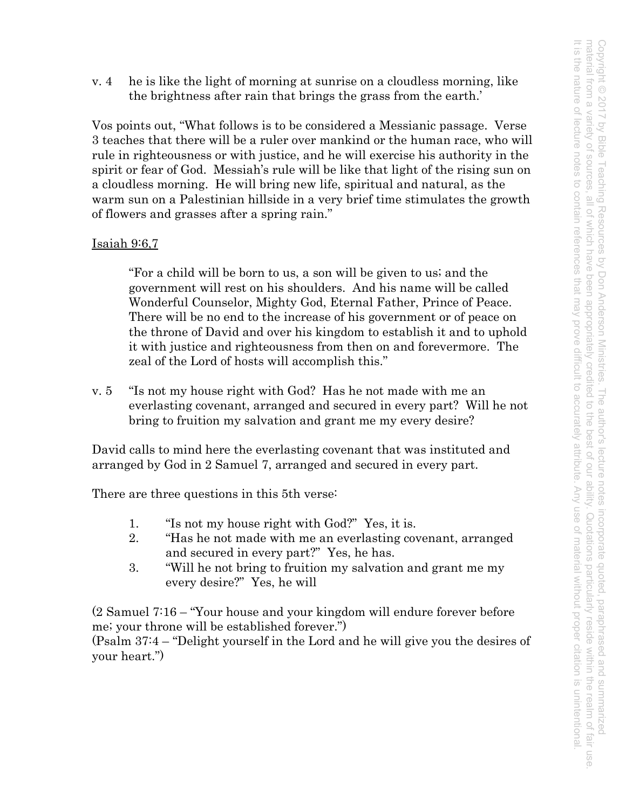v. 4 he is like the light of morning at sunrise on a cloudless morning, like the brightness after rain that brings the grass from the earth.'

Vos points out, "What follows is to be considered a Messianic passage. Verse 3 teaches that there will be a ruler over mankind or the human race, who will rule in righteousness or with justice, and he will exercise his authority in the spirit or fear of God. Messiah's rule will be like that light of the rising sun on a cloudless morning. He will bring new life, spiritual and natural, as the warm sun on a Palestinian hillside in a very brief time stimulates the growth of flowers and grasses after a spring rain."

# Isaiah 9:6,7

"For a child will be born to us, a son will be given to us; and the government will rest on his shoulders. And his name will be called Wonderful Counselor, Mighty God, Eternal Father, Prince of Peace. There will be no end to the increase of his government or of peace on the throne of David and over his kingdom to establish it and to uphold it with justice and righteousness from then on and forevermore. The zeal of the Lord of hosts will accomplish this."

v. 5 "Is not my house right with God? Has he not made with me an everlasting covenant, arranged and secured in every part? Will he not bring to fruition my salvation and grant me my every desire?

David calls to mind here the everlasting covenant that was instituted and arranged by God in 2 Samuel 7, arranged and secured in every part.

There are three questions in this 5th verse:

- 1. "Is not my house right with God?" Yes, it is.
- 2. "Has he not made with me an everlasting covenant, arranged and secured in every part?" Yes, he has.
- 3. "Will he not bring to fruition my salvation and grant me my every desire?" Yes, he will

(2 Samuel 7:16 – "Your house and your kingdom will endure forever before me; your throne will be established forever.")

(Psalm 37:4 – "Delight yourself in the Lord and he will give you the desires of your heart.")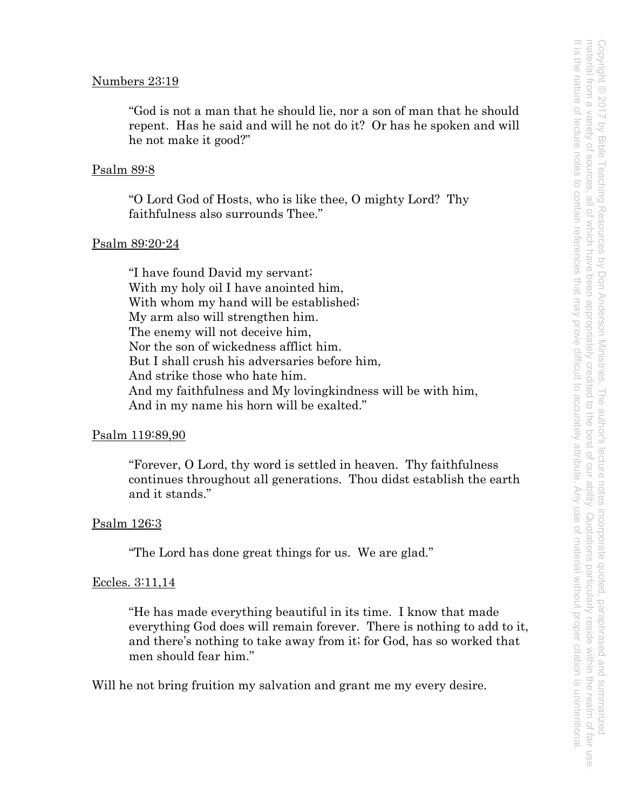#### Numbers 23:19

"God is not a man that he should lie, nor a son of man that he should repent. Has he said and will he not do it? Or has he spoken and will he not make it good?"

#### Psalm 89:8

"O Lord God of Hosts, who is like thee, O mighty Lord? Thy faithfulness also surrounds Thee."

#### Psalm 89:20-24

"I have found David my servant; With my holy oil I have anointed him, With whom my hand will be established; My arm also will strengthen him. The enemy will not deceive him, Nor the son of wickedness afflict him. But I shall crush his adversaries before him, And strike those who hate him. And my faithfulness and My lovingkindness will be with him, And in my name his horn will be exalted."

#### Psalm 119:89,90

"Forever, O Lord, thy word is settled in heaven. Thy faithfulness continues throughout all generations. Thou didst establish the earth and it stands."

### Psalm 126:3

"The Lord has done great things for us. We are glad."

#### Eccles. 3:11,14

"He has made everything beautiful in its time. I know that made everything God does will remain forever. There is nothing to add to it, and there's nothing to take away from it; for God, has so worked that men should fear him."

Will he not bring fruition my salvation and grant me my every desire.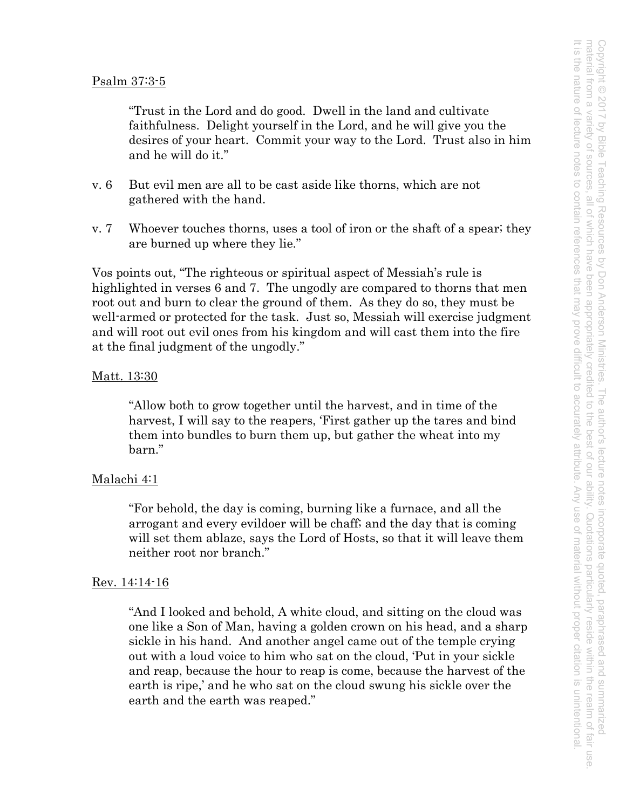#### Psalm 37:3-5

"Trust in the Lord and do good. Dwell in the land and cultivate faithfulness. Delight yourself in the Lord, and he will give you the desires of your heart. Commit your way to the Lord. Trust also in him and he will do it."

- v. 6 But evil men are all to be cast aside like thorns, which are not gathered with the hand.
- v. 7 Whoever touches thorns, uses a tool of iron or the shaft of a spear; they are burned up where they lie."

Vos points out, "The righteous or spiritual aspect of Messiah's rule is highlighted in verses 6 and 7. The ungodly are compared to thorns that men root out and burn to clear the ground of them. As they do so, they must be well-armed or protected for the task. Just so, Messiah will exercise judgment and will root out evil ones from his kingdom and will cast them into the fire at the final judgment of the ungodly."

### Matt. 13:30

"Allow both to grow together until the harvest, and in time of the harvest, I will say to the reapers, 'First gather up the tares and bind them into bundles to burn them up, but gather the wheat into my barn."

### Malachi 4:1

"For behold, the day is coming, burning like a furnace, and all the arrogant and every evildoer will be chaff; and the day that is coming will set them ablaze, says the Lord of Hosts, so that it will leave them neither root nor branch."

### Rev. 14:14-16

"And I looked and behold, A white cloud, and sitting on the cloud was one like a Son of Man, having a golden crown on his head, and a sharp sickle in his hand. And another angel came out of the temple crying out with a loud voice to him who sat on the cloud, 'Put in your sickle and reap, because the hour to reap is come, because the harvest of the earth is ripe,' and he who sat on the cloud swung his sickle over the earth and the earth was reaped."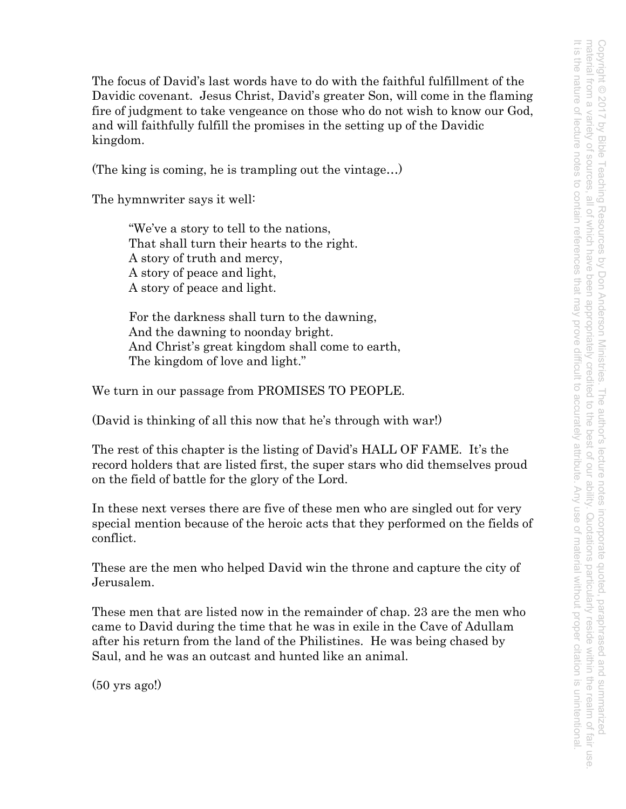The focus of David's last words have to do with the faithful fulfillment of the Davidic covenant. Jesus Christ, David's greater Son, will come in the flaming fire of judgment to take vengeance on those who do not wish to know our God, and will faithfully fulfill the promises in the setting up of the Davidic kingdom.

(The king is coming, he is trampling out the vintage…)

The hymnwriter says it well:

"We've a story to tell to the nations, That shall turn their hearts to the right. A story of truth and mercy, A story of peace and light, A story of peace and light.

For the darkness shall turn to the dawning, And the dawning to noonday bright. And Christ's great kingdom shall come to earth, The kingdom of love and light."

We turn in our passage from PROMISES TO PEOPLE.

(David is thinking of all this now that he's through with war!)

The rest of this chapter is the listing of David's HALL OF FAME. It's the record holders that are listed first, the super stars who did themselves proud on the field of battle for the glory of the Lord.

In these next verses there are five of these men who are singled out for very special mention because of the heroic acts that they performed on the fields of conflict.

These are the men who helped David win the throne and capture the city of Jerusalem.

These men that are listed now in the remainder of chap. 23 are the men who came to David during the time that he was in exile in the Cave of Adullam after his return from the land of the Philistines. He was being chased by Saul, and he was an outcast and hunted like an animal.

(50 yrs ago!)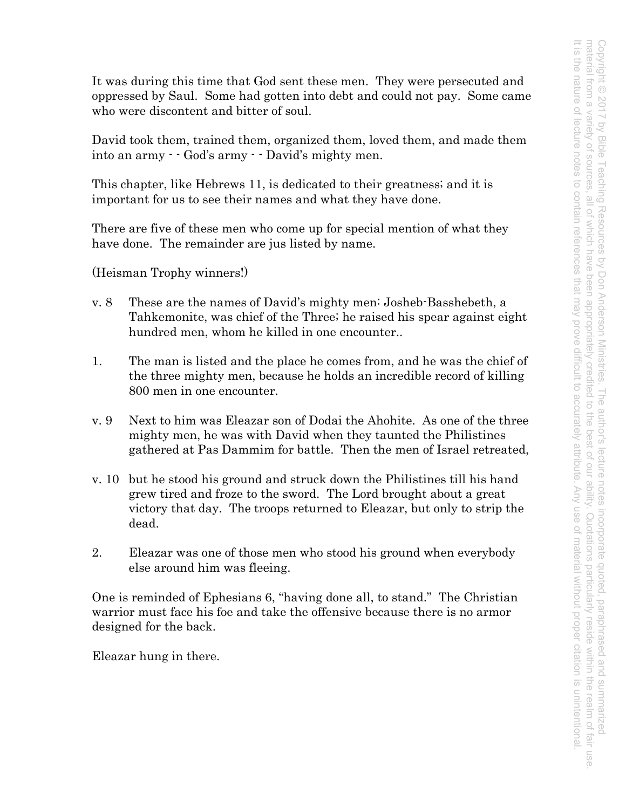It was during this time that God sent these men. They were persecuted and oppressed by Saul. Some had gotten into debt and could not pay. Some came who were discontent and bitter of soul.

David took them, trained them, organized them, loved them, and made them into an army - - God's army - - David's mighty men.

This chapter, like Hebrews 11, is dedicated to their greatness; and it is important for us to see their names and what they have done.

There are five of these men who come up for special mention of what they have done. The remainder are jus listed by name.

(Heisman Trophy winners!)

- v. 8 These are the names of David's mighty men: Josheb-Basshebeth, a Tahkemonite, was chief of the Three; he raised his spear against eight hundred men, whom he killed in one encounter..
- 1. The man is listed and the place he comes from, and he was the chief of the three mighty men, because he holds an incredible record of killing 800 men in one encounter.
- v. 9 Next to him was Eleazar son of Dodai the Ahohite. As one of the three mighty men, he was with David when they taunted the Philistines gathered at Pas Dammim for battle. Then the men of Israel retreated,
- v. 10 but he stood his ground and struck down the Philistines till his hand grew tired and froze to the sword. The Lord brought about a great victory that day. The troops returned to Eleazar, but only to strip the dead.
- 2. Eleazar was one of those men who stood his ground when everybody else around him was fleeing.

One is reminded of Ephesians 6, "having done all, to stand." The Christian warrior must face his foe and take the offensive because there is no armor designed for the back.

Eleazar hung in there.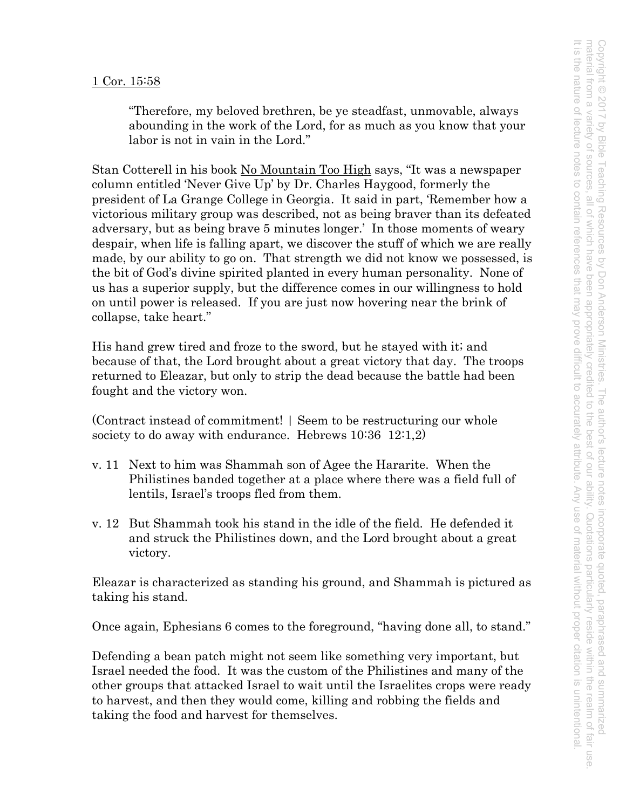### 1 Cor. 15:58

"Therefore, my beloved brethren, be ye steadfast, unmovable, always abounding in the work of the Lord, for as much as you know that your labor is not in vain in the Lord."

Stan Cotterell in his book No Mountain Too High says, "It was a newspaper column entitled 'Never Give Up' by Dr. Charles Haygood, formerly the president of La Grange College in Georgia. It said in part, 'Remember how a victorious military group was described, not as being braver than its defeated adversary, but as being brave 5 minutes longer.' In those moments of weary despair, when life is falling apart, we discover the stuff of which we are really made, by our ability to go on. That strength we did not know we possessed, is the bit of God's divine spirited planted in every human personality. None of us has a superior supply, but the difference comes in our willingness to hold on until power is released. If you are just now hovering near the brink of collapse, take heart."

His hand grew tired and froze to the sword, but he stayed with it; and because of that, the Lord brought about a great victory that day. The troops returned to Eleazar, but only to strip the dead because the battle had been fought and the victory won.

(Contract instead of commitment! | Seem to be restructuring our whole society to do away with endurance. Hebrews 10:36 12:1,2)

- v. 11 Next to him was Shammah son of Agee the Hararite. When the Philistines banded together at a place where there was a field full of lentils, Israel's troops fled from them.
- v. 12 But Shammah took his stand in the idle of the field. He defended it and struck the Philistines down, and the Lord brought about a great victory.

Eleazar is characterized as standing his ground, and Shammah is pictured as taking his stand.

Once again, Ephesians 6 comes to the foreground, "having done all, to stand."

Defending a bean patch might not seem like something very important, but Israel needed the food. It was the custom of the Philistines and many of the other groups that attacked Israel to wait until the Israelites crops were ready to harvest, and then they would come, killing and robbing the fields and taking the food and harvest for themselves.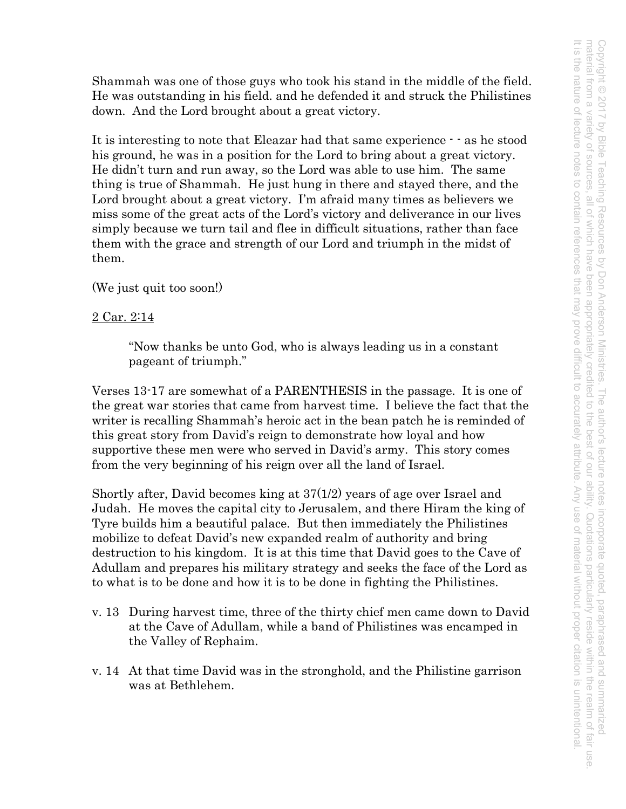Shammah was one of those guys who took his stand in the middle of the field. He was outstanding in his field. and he defended it and struck the Philistines down. And the Lord brought about a great victory.

It is interesting to note that Eleazar had that same experience - - as he stood his ground, he was in a position for the Lord to bring about a great victory. He didn't turn and run away, so the Lord was able to use him. The same thing is true of Shammah. He just hung in there and stayed there, and the Lord brought about a great victory. I'm afraid many times as believers we miss some of the great acts of the Lord's victory and deliverance in our lives simply because we turn tail and flee in difficult situations, rather than face them with the grace and strength of our Lord and triumph in the midst of them.

(We just quit too soon!)

# 2 Car. 2:14

"Now thanks be unto God, who is always leading us in a constant pageant of triumph."

Verses 13-17 are somewhat of a PARENTHESIS in the passage. It is one of the great war stories that came from harvest time. I believe the fact that the writer is recalling Shammah's heroic act in the bean patch he is reminded of this great story from David's reign to demonstrate how loyal and how supportive these men were who served in David's army. This story comes from the very beginning of his reign over all the land of Israel.

Shortly after, David becomes king at 37(1/2) years of age over Israel and Judah. He moves the capital city to Jerusalem, and there Hiram the king of Tyre builds him a beautiful palace. But then immediately the Philistines mobilize to defeat David's new expanded realm of authority and bring destruction to his kingdom. It is at this time that David goes to the Cave of Adullam and prepares his military strategy and seeks the face of the Lord as to what is to be done and how it is to be done in fighting the Philistines.

- v. 13 During harvest time, three of the thirty chief men came down to David at the Cave of Adullam, while a band of Philistines was encamped in the Valley of Rephaim.
- v. 14 At that time David was in the stronghold, and the Philistine garrison was at Bethlehem.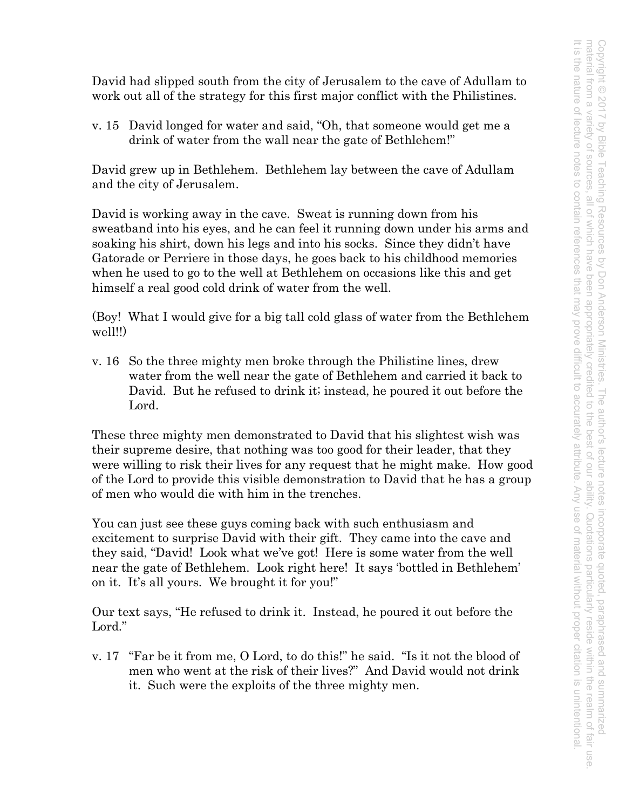David had slipped south from the city of Jerusalem to the cave of Adullam to work out all of the strategy for this first major conflict with the Philistines.

v. 15 David longed for water and said, "Oh, that someone would get me a drink of water from the wall near the gate of Bethlehem!"

David grew up in Bethlehem. Bethlehem lay between the cave of Adullam and the city of Jerusalem.

David is working away in the cave. Sweat is running down from his sweatband into his eyes, and he can feel it running down under his arms and soaking his shirt, down his legs and into his socks. Since they didn't have Gatorade or Perriere in those days, he goes back to his childhood memories when he used to go to the well at Bethlehem on occasions like this and get himself a real good cold drink of water from the well.

(Boy! What I would give for a big tall cold glass of water from the Bethlehem well!!)

v. 16 So the three mighty men broke through the Philistine lines, drew water from the well near the gate of Bethlehem and carried it back to David. But he refused to drink it; instead, he poured it out before the Lord.

These three mighty men demonstrated to David that his slightest wish was their supreme desire, that nothing was too good for their leader, that they were willing to risk their lives for any request that he might make. How good of the Lord to provide this visible demonstration to David that he has a group of men who would die with him in the trenches.

You can just see these guys coming back with such enthusiasm and excitement to surprise David with their gift. They came into the cave and they said, "David! Look what we've got! Here is some water from the well near the gate of Bethlehem. Look right here! It says 'bottled in Bethlehem' on it. It's all yours. We brought it for you!"

Our text says, "He refused to drink it. Instead, he poured it out before the Lord."

v. 17 "Far be it from me, O Lord, to do this!" he said. "Is it not the blood of men who went at the risk of their lives?" And David would not drink it. Such were the exploits of the three mighty men.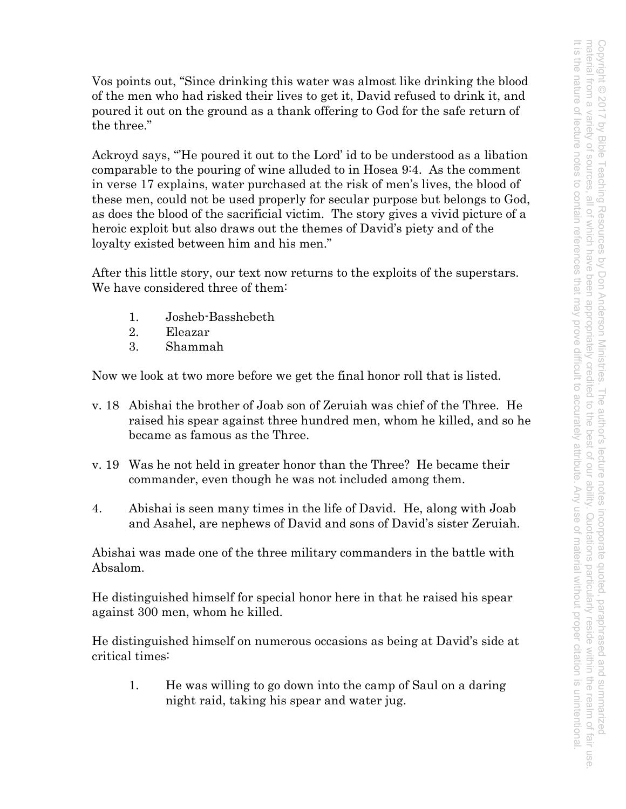Vos points out, "Since drinking this water was almost like drinking the blood of the men who had risked their lives to get it, David refused to drink it, and poured it out on the ground as a thank offering to God for the safe return of the three."

Ackroyd says, "'He poured it out to the Lord' id to be understood as a libation comparable to the pouring of wine alluded to in Hosea 9:4. As the comment in verse 17 explains, water purchased at the risk of men's lives, the blood of these men, could not be used properly for secular purpose but belongs to God, as does the blood of the sacrificial victim. The story gives a vivid picture of a heroic exploit but also draws out the themes of David's piety and of the loyalty existed between him and his men."

After this little story, our text now returns to the exploits of the superstars. We have considered three of them:

- 1. Josheb-Basshebeth
- 2. Eleazar
- 3. Shammah

Now we look at two more before we get the final honor roll that is listed.

- v. 18 Abishai the brother of Joab son of Zeruiah was chief of the Three. He raised his spear against three hundred men, whom he killed, and so he became as famous as the Three.
- v. 19 Was he not held in greater honor than the Three? He became their commander, even though he was not included among them.
- 4. Abishai is seen many times in the life of David. He, along with Joab and Asahel, are nephews of David and sons of David's sister Zeruiah.

Abishai was made one of the three military commanders in the battle with Absalom.

He distinguished himself for special honor here in that he raised his spear against 300 men, whom he killed.

He distinguished himself on numerous occasions as being at David's side at critical times:

1. He was willing to go down into the camp of Saul on a daring night raid, taking his spear and water jug.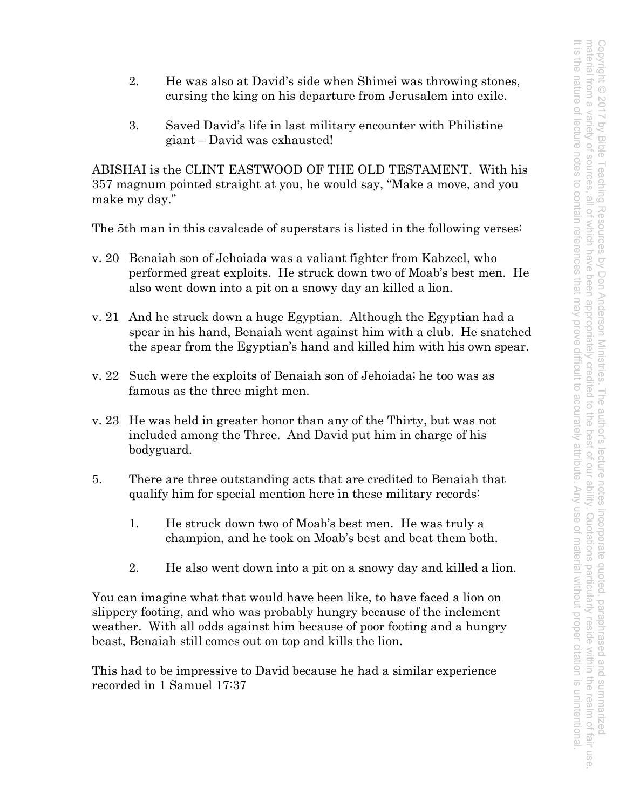- 2. He was also at David's side when Shimei was throwing stones, cursing the king on his departure from Jerusalem into exile.
- 3. Saved David's life in last military encounter with Philistine giant – David was exhausted!

ABISHAI is the CLINT EASTWOOD OF THE OLD TESTAMENT. With his 357 magnum pointed straight at you, he would say, "Make a move, and you make my day."

The 5th man in this cavalcade of superstars is listed in the following verses:

- v. 20 Benaiah son of Jehoiada was a valiant fighter from Kabzeel, who performed great exploits. He struck down two of Moab's best men. He also went down into a pit on a snowy day an killed a lion.
- v. 21 And he struck down a huge Egyptian. Although the Egyptian had a spear in his hand, Benaiah went against him with a club. He snatched the spear from the Egyptian's hand and killed him with his own spear.
- v. 22 Such were the exploits of Benaiah son of Jehoiada; he too was as famous as the three might men.
- v. 23 He was held in greater honor than any of the Thirty, but was not included among the Three. And David put him in charge of his bodyguard.
- 5. There are three outstanding acts that are credited to Benaiah that qualify him for special mention here in these military records:
	- 1. He struck down two of Moab's best men. He was truly a champion, and he took on Moab's best and beat them both.
	- 2. He also went down into a pit on a snowy day and killed a lion.

You can imagine what that would have been like, to have faced a lion on slippery footing, and who was probably hungry because of the inclement weather. With all odds against him because of poor footing and a hungry beast, Benaiah still comes out on top and kills the lion.

This had to be impressive to David because he had a similar experience recorded in 1 Samuel 17:37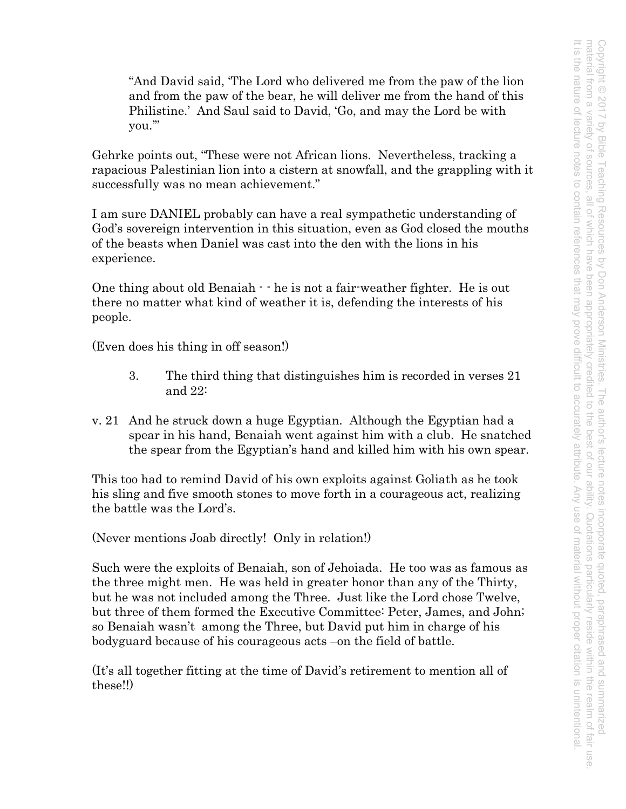"And David said, 'The Lord who delivered me from the paw of the lion and from the paw of the bear, he will deliver me from the hand of this Philistine.' And Saul said to David, 'Go, and may the Lord be with you.'"

Gehrke points out, "These were not African lions. Nevertheless, tracking a rapacious Palestinian lion into a cistern at snowfall, and the grappling with it successfully was no mean achievement."

I am sure DANIEL probably can have a real sympathetic understanding of God's sovereign intervention in this situation, even as God closed the mouths of the beasts when Daniel was cast into the den with the lions in his experience.

One thing about old Benaiah - - he is not a fair-weather fighter. He is out there no matter what kind of weather it is, defending the interests of his people.

(Even does his thing in off season!)

- 3. The third thing that distinguishes him is recorded in verses 21 and 22:
- v. 21 And he struck down a huge Egyptian. Although the Egyptian had a spear in his hand, Benaiah went against him with a club. He snatched the spear from the Egyptian's hand and killed him with his own spear.

This too had to remind David of his own exploits against Goliath as he took his sling and five smooth stones to move forth in a courageous act, realizing the battle was the Lord's.

(Never mentions Joab directly! Only in relation!)

Such were the exploits of Benaiah, son of Jehoiada. He too was as famous as the three might men. He was held in greater honor than any of the Thirty, but he was not included among the Three. Just like the Lord chose Twelve, but three of them formed the Executive Committee: Peter, James, and John; so Benaiah wasn't among the Three, but David put him in charge of his bodyguard because of his courageous acts –on the field of battle.

(It's all together fitting at the time of David's retirement to mention all of these!!)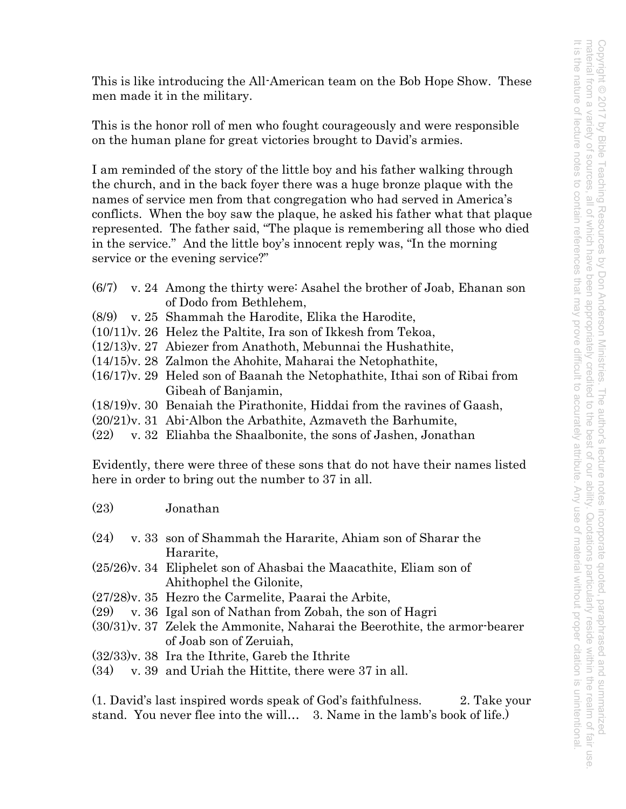This is like introducing the All-American team on the Bob Hope Show. These men made it in the military.

This is the honor roll of men who fought courageously and were responsible on the human plane for great victories brought to David's armies.

I am reminded of the story of the little boy and his father walking through the church, and in the back foyer there was a huge bronze plaque with the names of service men from that congregation who had served in America's conflicts. When the boy saw the plaque, he asked his father what that plaque represented. The father said, "The plaque is remembering all those who died in the service." And the little boy's innocent reply was, "In the morning service or the evening service?"

- (6/7) v. 24 Among the thirty were: Asahel the brother of Joab, Ehanan son of Dodo from Bethlehem,
- (8/9) v. 25 Shammah the Harodite, Elika the Harodite,
- (10/11)v. 26 Helez the Paltite, Ira son of Ikkesh from Tekoa,
- (12/13)v. 27 Abiezer from Anathoth, Mebunnai the Hushathite,
- (14/15)v. 28 Zalmon the Ahohite, Maharai the Netophathite,
- (16/17)v. 29 Heled son of Baanah the Netophathite, Ithai son of Ribai from Gibeah of Banjamin,
- (18/19)v. 30 Benaiah the Pirathonite, Hiddai from the ravines of Gaash,
- (20/21)v. 31 Abi-Albon the Arbathite, Azmaveth the Barhumite,
- (22) v. 32 Eliahba the Shaalbonite, the sons of Jashen, Jonathan

Evidently, there were three of these sons that do not have their names listed here in order to bring out the number to 37 in all.

- (24) v. 33 son of Shammah the Hararite, Ahiam son of Sharar the Hararite,
- (25/26)v. 34 Eliphelet son of Ahasbai the Maacathite, Eliam son of Ahithophel the Gilonite,
- (27/28)v. 35 Hezro the Carmelite, Paarai the Arbite,
- (29) v. 36 Igal son of Nathan from Zobah, the son of Hagri
- (30/31)v. 37 Zelek the Ammonite, Naharai the Beerothite, the armor-bearer of Joab son of Zeruiah,
- (32/33)v. 38 Ira the Ithrite, Gareb the Ithrite
- (34) v. 39 and Uriah the Hittite, there were 37 in all.

(1. David's last inspired words speak of God's faithfulness. 2. Take your stand. You never flee into the will… 3. Name in the lamb's book of life.)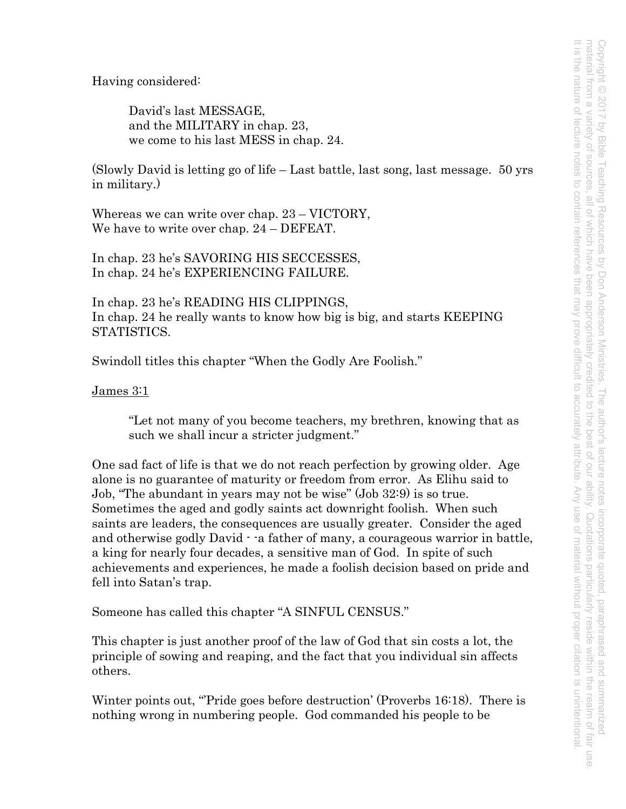Having considered:

David's last MESSAGE, and the MILITARY in chap. 23, we come to his last MESS in chap. 24.

(Slowly David is letting go of life – Last battle, last song, last message. 50 yrs in military.)

Whereas we can write over chap. 23 – VICTORY, We have to write over chap. 24 – DEFEAT.

In chap. 23 he's SAVORING HIS SECCESSES, In chap. 24 he's EXPERIENCING FAILURE.

In chap. 23 he's READING HIS CLIPPINGS, In chap. 24 he really wants to know how big is big, and starts KEEPING STATISTICS.

Swindoll titles this chapter "When the Godly Are Foolish."

<u>James 3:1</u>

"Let not many of you become teachers, my brethren, knowing that as such we shall incur a stricter judgment."

One sad fact of life is that we do not reach perfection by growing older. Age alone is no guarantee of maturity or freedom from error. As Elihu said to Job, "The abundant in years may not be wise" (Job 32:9) is so true. Sometimes the aged and godly saints act downright foolish. When such saints are leaders, the consequences are usually greater. Consider the aged and otherwise godly David - -a father of many, a courageous warrior in battle, a king for nearly four decades, a sensitive man of God. In spite of such achievements and experiences, he made a foolish decision based on pride and fell into Satan's trap.

Someone has called this chapter "A SINFUL CENSUS."

This chapter is just another proof of the law of God that sin costs a lot, the principle of sowing and reaping, and the fact that you individual sin affects others.

Winter points out, "'Pride goes before destruction' (Proverbs 16:18). There is nothing wrong in numbering people. God commanded his people to be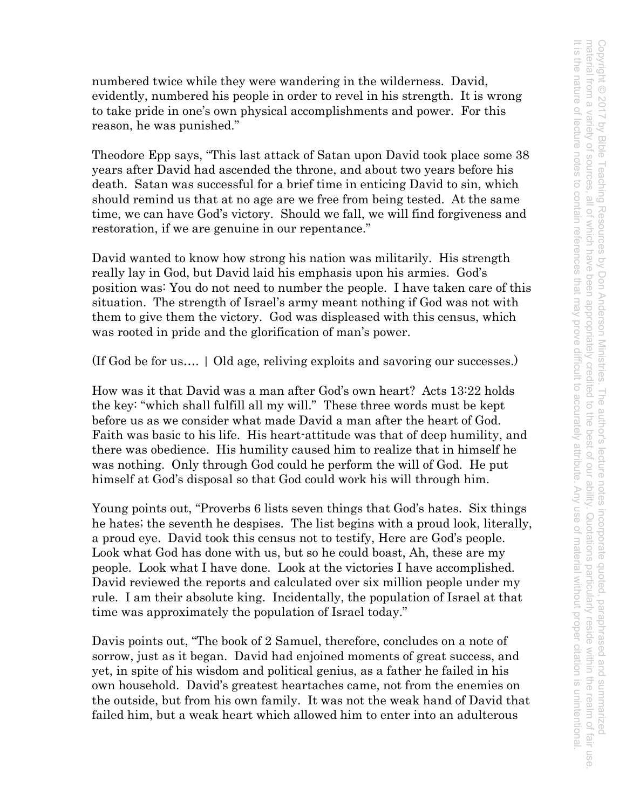numbered twice while they were wandering in the wilderness. David, evidently, numbered his people in order to revel in his strength. It is wrong to take pride in one's own physical accomplishments and power. For this reason, he was punished."

Theodore Epp says, "This last attack of Satan upon David took place some 38 years after David had ascended the throne, and about two years before his death. Satan was successful for a brief time in enticing David to sin, which should remind us that at no age are we free from being tested. At the same time, we can have God's victory. Should we fall, we will find forgiveness and restoration, if we are genuine in our repentance."

David wanted to know how strong his nation was militarily. His strength really lay in God, but David laid his emphasis upon his armies. God's position was: You do not need to number the people. I have taken care of this situation. The strength of Israel's army meant nothing if God was not with them to give them the victory. God was displeased with this census, which was rooted in pride and the glorification of man's power.

(If God be for us…. | Old age, reliving exploits and savoring our successes.)

How was it that David was a man after God's own heart? Acts 13:22 holds the key: "which shall fulfill all my will." These three words must be kept before us as we consider what made David a man after the heart of God. Faith was basic to his life. His heart-attitude was that of deep humility, and there was obedience. His humility caused him to realize that in himself he was nothing. Only through God could he perform the will of God. He put himself at God's disposal so that God could work his will through him.

Young points out, "Proverbs 6 lists seven things that God's hates. Six things he hates; the seventh he despises. The list begins with a proud look, literally, a proud eye. David took this census not to testify, Here are God's people. Look what God has done with us, but so he could boast, Ah, these are my people. Look what I have done. Look at the victories I have accomplished. David reviewed the reports and calculated over six million people under my rule. I am their absolute king. Incidentally, the population of Israel at that time was approximately the population of Israel today."

Davis points out, "The book of 2 Samuel, therefore, concludes on a note of sorrow, just as it began. David had enjoined moments of great success, and yet, in spite of his wisdom and political genius, as a father he failed in his own household. David's greatest heartaches came, not from the enemies on the outside, but from his own family. It was not the weak hand of David that failed him, but a weak heart which allowed him to enter into an adulterous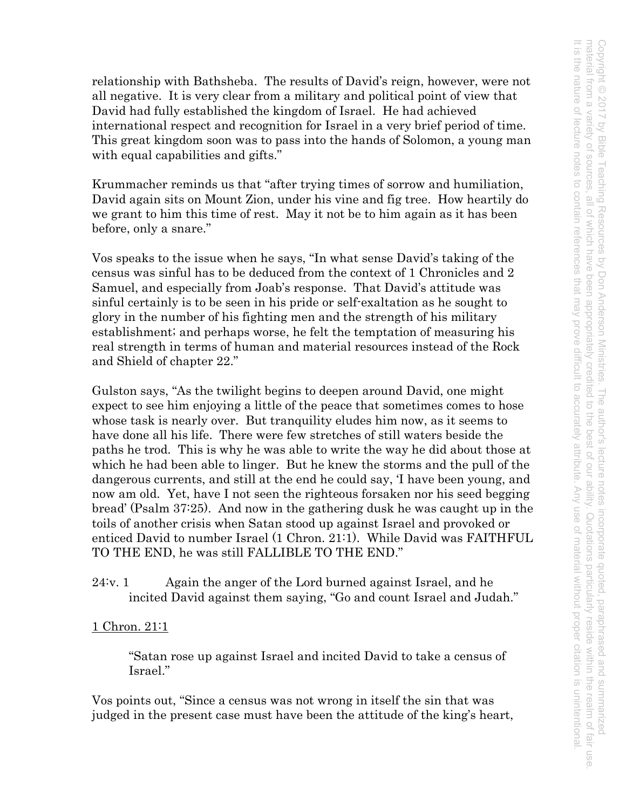Copyright © 2017 by Bible Teaching Resources by Don Anderson Ministries. The author's lecture notes incorporate quoted, paraphrased and summarized<br>material from a variety of sources, all of which have been appropriately cr It is the material from a variety of sources, all of the which have been appropriately credited to the best of courses, all of the interval of the set of the set of the been abdeniately reside with reside with reside within the real Copyright © 2017 by Bible Teaching Resources by Don Anderson Ministries. The author's lecture notes incorporate quoted, paraphrased and summarized It is the nature of lecture notes to contain references that may prove difficult to accurately attribute. Any use of material without proper citation is unintentional.nature of lecture notes to contain references that may prove difficult to accurately attribute. Any use of material without proper citation is unintentional

relationship with Bathsheba. The results of David's reign, however, were not all negative. It is very clear from a military and political point of view that David had fully established the kingdom of Israel. He had achieved international respect and recognition for Israel in a very brief period of time. This great kingdom soon was to pass into the hands of Solomon, a young man with equal capabilities and gifts."

Krummacher reminds us that "after trying times of sorrow and humiliation, David again sits on Mount Zion, under his vine and fig tree. How heartily do we grant to him this time of rest. May it not be to him again as it has been before, only a snare."

Vos speaks to the issue when he says, "In what sense David's taking of the census was sinful has to be deduced from the context of 1 Chronicles and 2 Samuel, and especially from Joab's response. That David's attitude was sinful certainly is to be seen in his pride or self-exaltation as he sought to glory in the number of his fighting men and the strength of his military establishment; and perhaps worse, he felt the temptation of measuring his real strength in terms of human and material resources instead of the Rock and Shield of chapter 22."

Gulston says, "As the twilight begins to deepen around David, one might expect to see him enjoying a little of the peace that sometimes comes to hose whose task is nearly over. But tranquility eludes him now, as it seems to have done all his life. There were few stretches of still waters beside the paths he trod. This is why he was able to write the way he did about those at which he had been able to linger. But he knew the storms and the pull of the dangerous currents, and still at the end he could say, 'I have been young, and now am old. Yet, have I not seen the righteous forsaken nor his seed begging bread' (Psalm 37:25). And now in the gathering dusk he was caught up in the toils of another crisis when Satan stood up against Israel and provoked or enticed David to number Israel (1 Chron. 21:1). While David was FAITHFUL TO THE END, he was still FALLIBLE TO THE END."

24:v. 1 Again the anger of the Lord burned against Israel, and he incited David against them saying, "Go and count Israel and Judah."

# 1 Chron. 21:1

"Satan rose up against Israel and incited David to take a census of Israel."

Vos points out, "Since a census was not wrong in itself the sin that was judged in the present case must have been the attitude of the king's heart,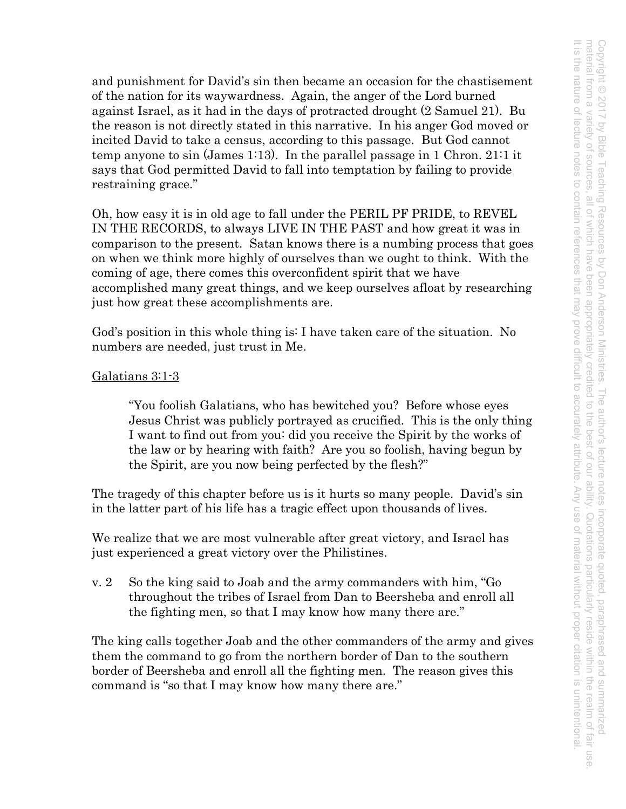and punishment for David's sin then became an occasion for the chastisement of the nation for its waywardness. Again, the anger of the Lord burned against Israel, as it had in the days of protracted drought (2 Samuel 21). Bu the reason is not directly stated in this narrative. In his anger God moved or incited David to take a census, according to this passage. But God cannot temp anyone to sin (James 1:13). In the parallel passage in 1 Chron. 21:1 it says that God permitted David to fall into temptation by failing to provide restraining grace."

Oh, how easy it is in old age to fall under the PERIL PF PRIDE, to REVEL IN THE RECORDS, to always LIVE IN THE PAST and how great it was in comparison to the present. Satan knows there is a numbing process that goes on when we think more highly of ourselves than we ought to think. With the coming of age, there comes this overconfident spirit that we have accomplished many great things, and we keep ourselves afloat by researching just how great these accomplishments are.

God's position in this whole thing is: I have taken care of the situation. No numbers are needed, just trust in Me.

## Galatians 3:1-3

"You foolish Galatians, who has bewitched you? Before whose eyes Jesus Christ was publicly portrayed as crucified. This is the only thing I want to find out from you: did you receive the Spirit by the works of the law or by hearing with faith? Are you so foolish, having begun by the Spirit, are you now being perfected by the flesh?"

The tragedy of this chapter before us is it hurts so many people. David's sin in the latter part of his life has a tragic effect upon thousands of lives.

We realize that we are most vulnerable after great victory, and Israel has just experienced a great victory over the Philistines.

v. 2 So the king said to Joab and the army commanders with him, "Go throughout the tribes of Israel from Dan to Beersheba and enroll all the fighting men, so that I may know how many there are."

The king calls together Joab and the other commanders of the army and gives them the command to go from the northern border of Dan to the southern border of Beersheba and enroll all the fighting men. The reason gives this command is "so that I may know how many there are."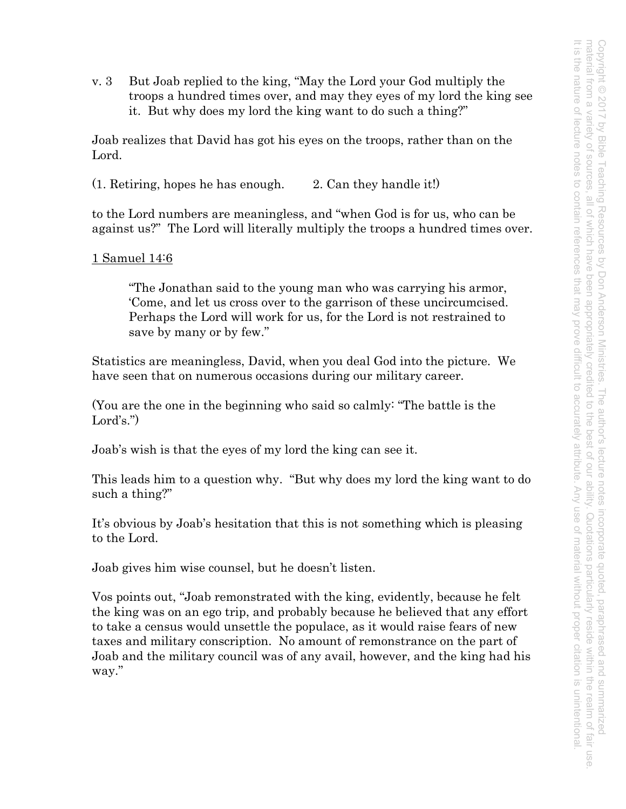v. 3 But Joab replied to the king, "May the Lord your God multiply the troops a hundred times over, and may they eyes of my lord the king see it. But why does my lord the king want to do such a thing?"

Joab realizes that David has got his eyes on the troops, rather than on the Lord.

 $(1.$  Retiring, hopes he has enough.  $2.$  Can they handle it!)

to the Lord numbers are meaningless, and "when God is for us, who can be against us?" The Lord will literally multiply the troops a hundred times over.

## 1 Samuel 14:6

"The Jonathan said to the young man who was carrying his armor, 'Come, and let us cross over to the garrison of these uncircumcised. Perhaps the Lord will work for us, for the Lord is not restrained to save by many or by few."

Statistics are meaningless, David, when you deal God into the picture. We have seen that on numerous occasions during our military career.

(You are the one in the beginning who said so calmly: "The battle is the Lord's.")

Joab's wish is that the eyes of my lord the king can see it.

This leads him to a question why. "But why does my lord the king want to do such a thing?"

It's obvious by Joab's hesitation that this is not something which is pleasing to the Lord.

Joab gives him wise counsel, but he doesn't listen.

Vos points out, "Joab remonstrated with the king, evidently, because he felt the king was on an ego trip, and probably because he believed that any effort to take a census would unsettle the populace, as it would raise fears of new taxes and military conscription. No amount of remonstrance on the part of Joab and the military council was of any avail, however, and the king had his way."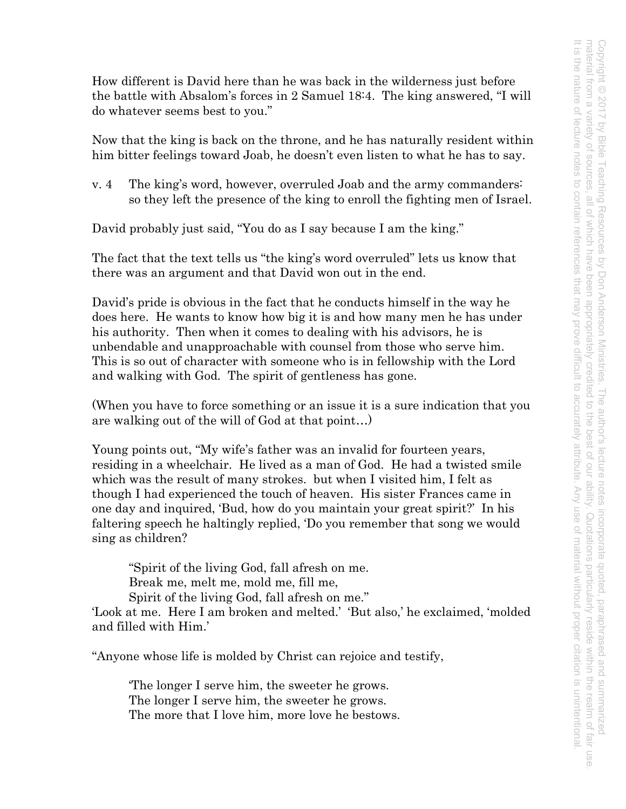How different is David here than he was back in the wilderness just before the battle with Absalom's forces in 2 Samuel 18:4. The king answered, "I will do whatever seems best to you."

Now that the king is back on the throne, and he has naturally resident within him bitter feelings toward Joab, he doesn't even listen to what he has to say.

v. 4 The king's word, however, overruled Joab and the army commanders: so they left the presence of the king to enroll the fighting men of Israel.

David probably just said, "You do as I say because I am the king."

The fact that the text tells us "the king's word overruled" lets us know that there was an argument and that David won out in the end.

David's pride is obvious in the fact that he conducts himself in the way he does here. He wants to know how big it is and how many men he has under his authority. Then when it comes to dealing with his advisors, he is unbendable and unapproachable with counsel from those who serve him. This is so out of character with someone who is in fellowship with the Lord and walking with God. The spirit of gentleness has gone.

(When you have to force something or an issue it is a sure indication that you are walking out of the will of God at that point…)

Young points out, "My wife's father was an invalid for fourteen years, residing in a wheelchair. He lived as a man of God. He had a twisted smile which was the result of many strokes. but when I visited him, I felt as though I had experienced the touch of heaven. His sister Frances came in one day and inquired, 'Bud, how do you maintain your great spirit?' In his faltering speech he haltingly replied, 'Do you remember that song we would sing as children?

"Spirit of the living God, fall afresh on me. Break me, melt me, mold me, fill me, Spirit of the living God, fall afresh on me."

'Look at me. Here I am broken and melted.' 'But also,' he exclaimed, 'molded and filled with Him.'

"Anyone whose life is molded by Christ can rejoice and testify,

'The longer I serve him, the sweeter he grows. The longer I serve him, the sweeter he grows. The more that I love him, more love he bestows.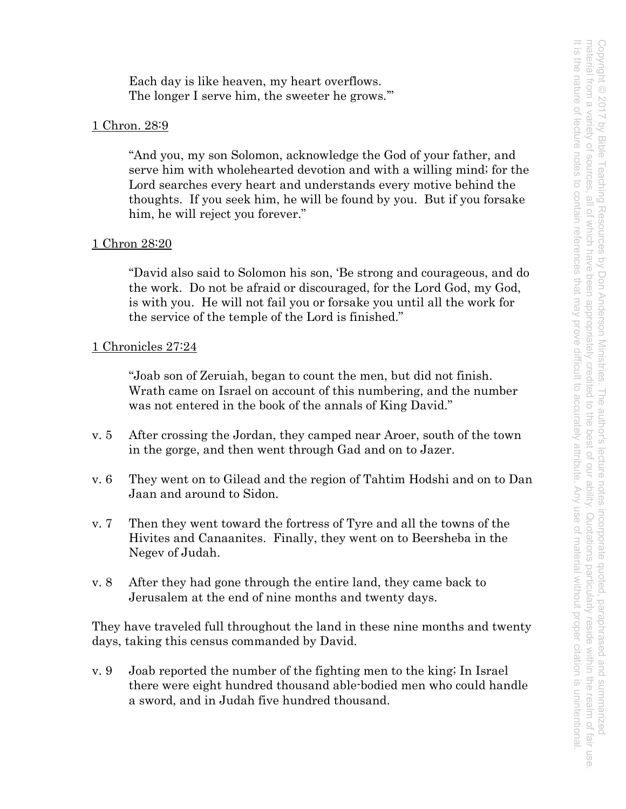Each day is like heaven, my heart overflows. The longer I serve him, the sweeter he grows.'"

## 1 Chron. 28:9

"And you, my son Solomon, acknowledge the God of your father, and serve him with wholehearted devotion and with a willing mind; for the Lord searches every heart and understands every motive behind the thoughts. If you seek him, he will be found by you. But if you forsake him, he will reject you forever."

## 1 Chron 28:20

"David also said to Solomon his son, 'Be strong and courageous, and do the work. Do not be afraid or discouraged, for the Lord God, my God, is with you. He will not fail you or forsake you until all the work for the service of the temple of the Lord is finished."

## 1 Chronicles 27:24

"Joab son of Zeruiah, began to count the men, but did not finish. Wrath came on Israel on account of this numbering, and the number was not entered in the book of the annals of King David."

- v. 5 After crossing the Jordan, they camped near Aroer, south of the town in the gorge, and then went through Gad and on to Jazer.
- v. 6 They went on to Gilead and the region of Tahtim Hodshi and on to Dan Jaan and around to Sidon.
- v. 7 Then they went toward the fortress of Tyre and all the towns of the Hivites and Canaanites. Finally, they went on to Beersheba in the Negev of Judah.
- v. 8 After they had gone through the entire land, they came back to Jerusalem at the end of nine months and twenty days.

They have traveled full throughout the land in these nine months and twenty days, taking this census commanded by David.

v. 9 Joab reported the number of the fighting men to the king; In Israel there were eight hundred thousand able-bodied men who could handle a sword, and in Judah five hundred thousand.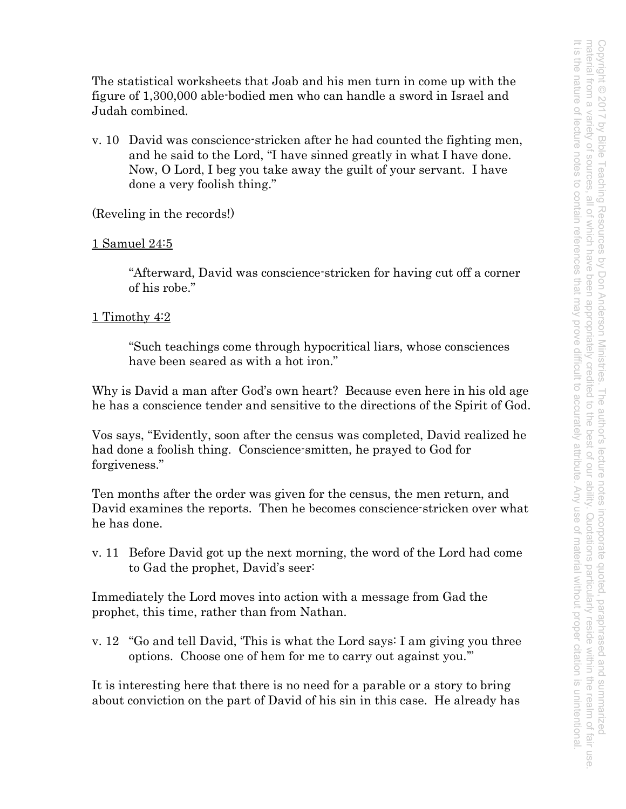The statistical worksheets that Joab and his men turn in come up with the figure of 1,300,000 able-bodied men who can handle a sword in Israel and Judah combined.

v. 10 David was conscience-stricken after he had counted the fighting men, and he said to the Lord, "I have sinned greatly in what I have done. Now, O Lord, I beg you take away the guilt of your servant. I have done a very foolish thing."

(Reveling in the records!)

# 1 Samuel 24:5

"Afterward, David was conscience-stricken for having cut off a corner of his robe."

# 1 Timothy 4:2

"Such teachings come through hypocritical liars, whose consciences have been seared as with a hot iron."

Why is David a man after God's own heart? Because even here in his old age he has a conscience tender and sensitive to the directions of the Spirit of God.

Vos says, "Evidently, soon after the census was completed, David realized he had done a foolish thing. Conscience-smitten, he prayed to God for forgiveness."

Ten months after the order was given for the census, the men return, and David examines the reports. Then he becomes conscience-stricken over what he has done.

v. 11 Before David got up the next morning, the word of the Lord had come to Gad the prophet, David's seer:

Immediately the Lord moves into action with a message from Gad the prophet, this time, rather than from Nathan.

v. 12 "Go and tell David, 'This is what the Lord says: I am giving you three options. Choose one of hem for me to carry out against you.'"

It is interesting here that there is no need for a parable or a story to bring about conviction on the part of David of his sin in this case. He already has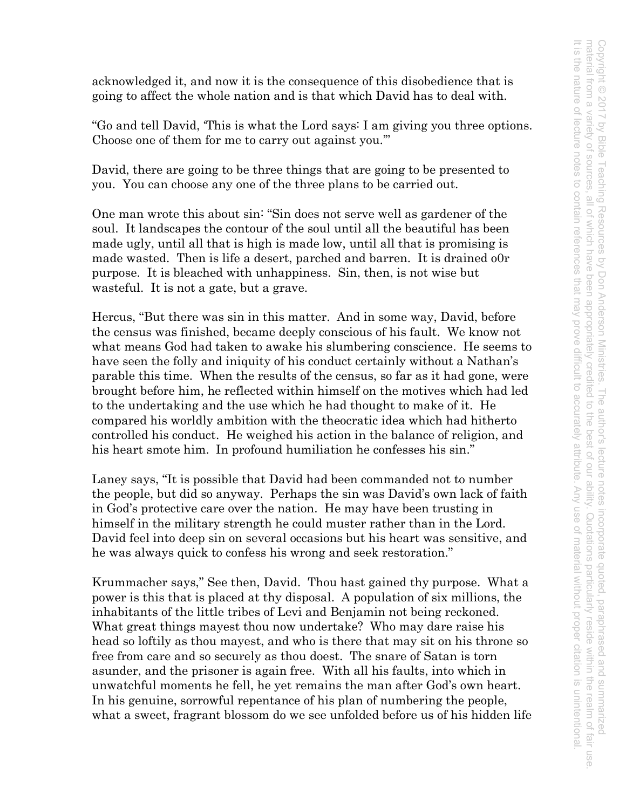acknowledged it, and now it is the consequence of this disobedience that is going to affect the whole nation and is that which David has to deal with.

"Go and tell David, 'This is what the Lord says: I am giving you three options. Choose one of them for me to carry out against you.'"

David, there are going to be three things that are going to be presented to you. You can choose any one of the three plans to be carried out.

One man wrote this about sin: "Sin does not serve well as gardener of the soul. It landscapes the contour of the soul until all the beautiful has been made ugly, until all that is high is made low, until all that is promising is made wasted. Then is life a desert, parched and barren. It is drained o0r purpose. It is bleached with unhappiness. Sin, then, is not wise but wasteful. It is not a gate, but a grave.

Hercus, "But there was sin in this matter. And in some way, David, before the census was finished, became deeply conscious of his fault. We know not what means God had taken to awake his slumbering conscience. He seems to have seen the folly and iniquity of his conduct certainly without a Nathan's parable this time. When the results of the census, so far as it had gone, were brought before him, he reflected within himself on the motives which had led to the undertaking and the use which he had thought to make of it. He compared his worldly ambition with the theocratic idea which had hitherto controlled his conduct. He weighed his action in the balance of religion, and his heart smote him. In profound humiliation he confesses his sin."

Laney says, "It is possible that David had been commanded not to number the people, but did so anyway. Perhaps the sin was David's own lack of faith in God's protective care over the nation. He may have been trusting in himself in the military strength he could muster rather than in the Lord. David feel into deep sin on several occasions but his heart was sensitive, and he was always quick to confess his wrong and seek restoration."

Krummacher says," See then, David. Thou hast gained thy purpose. What a power is this that is placed at thy disposal. A population of six millions, the inhabitants of the little tribes of Levi and Benjamin not being reckoned. What great things mayest thou now undertake? Who may dare raise his head so loftily as thou mayest, and who is there that may sit on his throne so free from care and so securely as thou doest. The snare of Satan is torn asunder, and the prisoner is again free. With all his faults, into which in unwatchful moments he fell, he yet remains the man after God's own heart. In his genuine, sorrowful repentance of his plan of numbering the people, what a sweet, fragrant blossom do we see unfolded before us of his hidden life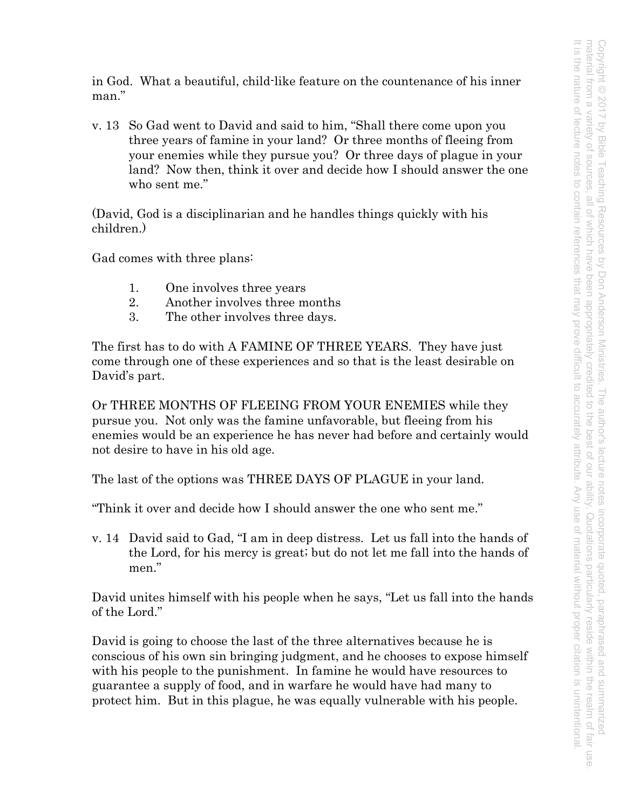in God. What a beautiful, child-like feature on the countenance of his inner man."

v. 13 So Gad went to David and said to him, "Shall there come upon you three years of famine in your land? Or three months of fleeing from your enemies while they pursue you? Or three days of plague in your land? Now then, think it over and decide how I should answer the one who sent me."

(David, God is a disciplinarian and he handles things quickly with his children.)

Gad comes with three plans:

- 1. One involves three years
- 2. Another involves three months
- 3. The other involves three days.

The first has to do with A FAMINE OF THREE YEARS. They have just come through one of these experiences and so that is the least desirable on David's part.

Or THREE MONTHS OF FLEEING FROM YOUR ENEMIES while they pursue you. Not only was the famine unfavorable, but fleeing from his enemies would be an experience he has never had before and certainly would not desire to have in his old age.

The last of the options was THREE DAYS OF PLAGUE in your land.

"Think it over and decide how I should answer the one who sent me."

v. 14 David said to Gad, "I am in deep distress. Let us fall into the hands of the Lord, for his mercy is great; but do not let me fall into the hands of men."

David unites himself with his people when he says, "Let us fall into the hands of the Lord."

David is going to choose the last of the three alternatives because he is conscious of his own sin bringing judgment, and he chooses to expose himself with his people to the punishment. In famine he would have resources to guarantee a supply of food, and in warfare he would have had many to protect him. But in this plague, he was equally vulnerable with his people.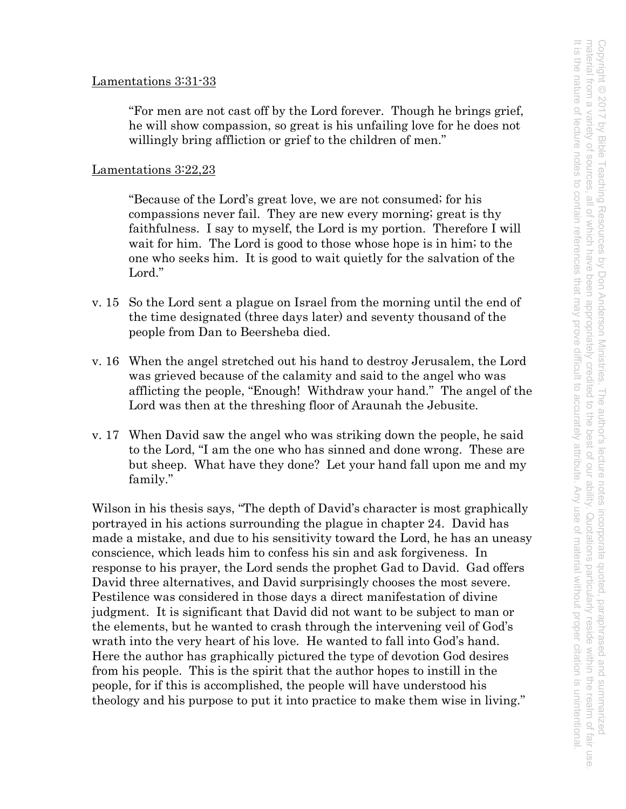### Lamentations 3:31-33

"For men are not cast off by the Lord forever. Though he brings grief, he will show compassion, so great is his unfailing love for he does not willingly bring affliction or grief to the children of men."

## Lamentations 3:22,23

"Because of the Lord's great love, we are not consumed; for his compassions never fail. They are new every morning; great is thy faithfulness. I say to myself, the Lord is my portion. Therefore I will wait for him. The Lord is good to those whose hope is in him; to the one who seeks him. It is good to wait quietly for the salvation of the Lord."

- v. 15 So the Lord sent a plague on Israel from the morning until the end of the time designated (three days later) and seventy thousand of the people from Dan to Beersheba died.
- v. 16 When the angel stretched out his hand to destroy Jerusalem, the Lord was grieved because of the calamity and said to the angel who was afflicting the people, "Enough! Withdraw your hand." The angel of the Lord was then at the threshing floor of Araunah the Jebusite.
- v. 17 When David saw the angel who was striking down the people, he said to the Lord, "I am the one who has sinned and done wrong. These are but sheep. What have they done? Let your hand fall upon me and my family."

Wilson in his thesis says, "The depth of David's character is most graphically portrayed in his actions surrounding the plague in chapter 24. David has made a mistake, and due to his sensitivity toward the Lord, he has an uneasy conscience, which leads him to confess his sin and ask forgiveness. In response to his prayer, the Lord sends the prophet Gad to David. Gad offers David three alternatives, and David surprisingly chooses the most severe. Pestilence was considered in those days a direct manifestation of divine judgment. It is significant that David did not want to be subject to man or the elements, but he wanted to crash through the intervening veil of God's wrath into the very heart of his love. He wanted to fall into God's hand. Here the author has graphically pictured the type of devotion God desires from his people. This is the spirit that the author hopes to instill in the people, for if this is accomplished, the people will have understood his theology and his purpose to put it into practice to make them wise in living."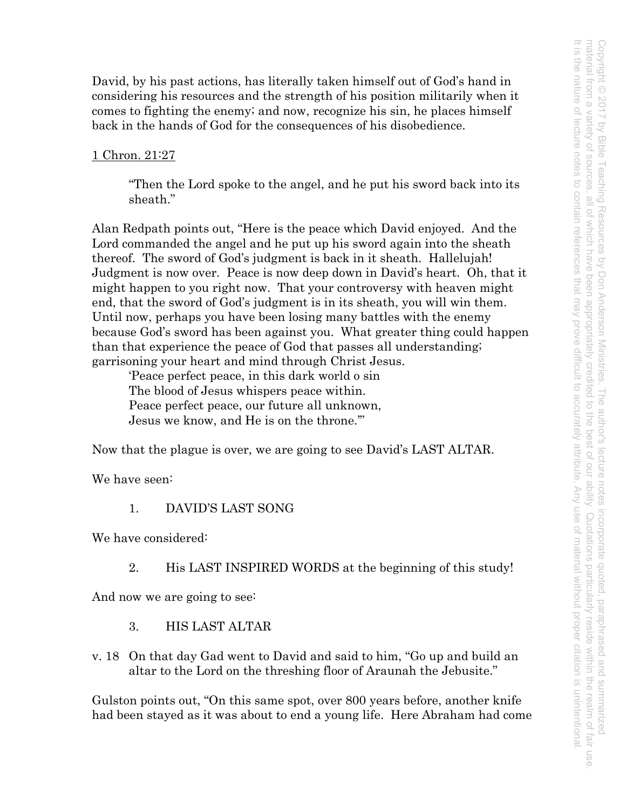David, by his past actions, has literally taken himself out of God's hand in considering his resources and the strength of his position militarily when it comes to fighting the enemy; and now, recognize his sin, he places himself back in the hands of God for the consequences of his disobedience.

## 1 Chron. 21:27

"Then the Lord spoke to the angel, and he put his sword back into its sheath."

Alan Redpath points out, "Here is the peace which David enjoyed. And the Lord commanded the angel and he put up his sword again into the sheath thereof. The sword of God's judgment is back in it sheath. Hallelujah! Judgment is now over. Peace is now deep down in David's heart. Oh, that it might happen to you right now. That your controversy with heaven might end, that the sword of God's judgment is in its sheath, you will win them. Until now, perhaps you have been losing many battles with the enemy because God's sword has been against you. What greater thing could happen than that experience the peace of God that passes all understanding; garrisoning your heart and mind through Christ Jesus.

'Peace perfect peace, in this dark world o sin The blood of Jesus whispers peace within. Peace perfect peace, our future all unknown, Jesus we know, and He is on the throne.'"

Now that the plague is over, we are going to see David's LAST ALTAR.

We have seen:

1. DAVID'S LAST SONG

We have considered:

2. His LAST INSPIRED WORDS at the beginning of this study!

And now we are going to see:

- 3. HIS LAST ALTAR
- v. 18 On that day Gad went to David and said to him, "Go up and build an altar to the Lord on the threshing floor of Araunah the Jebusite."

Gulston points out, "On this same spot, over 800 years before, another knife had been stayed as it was about to end a young life. Here Abraham had come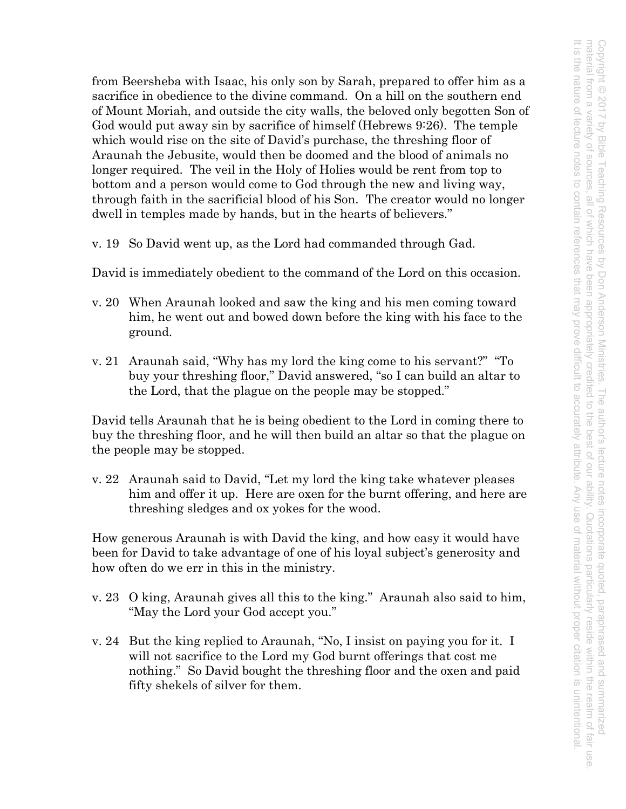from Beersheba with Isaac, his only son by Sarah, prepared to offer him as a sacrifice in obedience to the divine command. On a hill on the southern end of Mount Moriah, and outside the city walls, the beloved only begotten Son of God would put away sin by sacrifice of himself (Hebrews 9:26). The temple which would rise on the site of David's purchase, the threshing floor of Araunah the Jebusite, would then be doomed and the blood of animals no longer required. The veil in the Holy of Holies would be rent from top to bottom and a person would come to God through the new and living way, through faith in the sacrificial blood of his Son. The creator would no longer dwell in temples made by hands, but in the hearts of believers."

v. 19 So David went up, as the Lord had commanded through Gad.

David is immediately obedient to the command of the Lord on this occasion.

- v. 20 When Araunah looked and saw the king and his men coming toward him, he went out and bowed down before the king with his face to the ground.
- v. 21 Araunah said, "Why has my lord the king come to his servant?" "To buy your threshing floor," David answered, "so I can build an altar to the Lord, that the plague on the people may be stopped."

David tells Araunah that he is being obedient to the Lord in coming there to buy the threshing floor, and he will then build an altar so that the plague on the people may be stopped.

v. 22 Araunah said to David, "Let my lord the king take whatever pleases him and offer it up. Here are oxen for the burnt offering, and here are threshing sledges and ox yokes for the wood.

How generous Araunah is with David the king, and how easy it would have been for David to take advantage of one of his loyal subject's generosity and how often do we err in this in the ministry.

- v. 23 O king, Araunah gives all this to the king." Araunah also said to him, "May the Lord your God accept you."
- v. 24 But the king replied to Araunah, "No, I insist on paying you for it. I will not sacrifice to the Lord my God burnt offerings that cost me nothing." So David bought the threshing floor and the oxen and paid fifty shekels of silver for them.